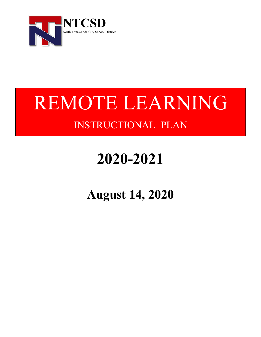

# REMOTE LEARNING INSTRUCTIONAL PLAN

# **2020-2021**

**August 14, 2020**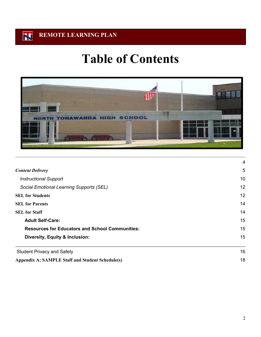# **Table of Contents**



|                                                         | 4  |
|---------------------------------------------------------|----|
| <b>Content Delivery</b>                                 | 5  |
| <b>Instructional Support</b>                            | 10 |
| Social Emotional Learning Supports (SEL)                | 12 |
| <b>SEL for Students</b>                                 | 12 |
| <b>SEL for Parents</b>                                  | 14 |
| <b>SEL for Staff</b>                                    | 14 |
| <b>Adult Self-Care:</b>                                 | 15 |
| <b>Resources for Educators and School Communities:</b>  | 15 |
| Diversity, Equity & Inclusion:                          | 15 |
| <b>Student Privacy and Safety</b>                       | 16 |
| <b>Appendix A: SAMPLE Staff and Student Schedule(s)</b> | 18 |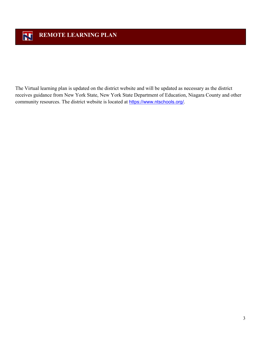The Virtual learning plan is updated on the district website and will be updated as necessary as the district receives guidance from New York State, New York State Department of Education, Niagara County and other community resources. The district website is located at [https://www.ntschools.org/.](https://www.ntschools.org/)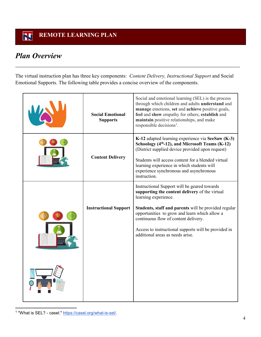#### $\mathbf{Z}$  **REMOTE LEARNING PLAN**

# <span id="page-3-0"></span>*Plan Overview*

The virtual instruction plan has three key components: *Content Delivery, Instructional Support* and Social Emotional Supports. The following table provides a concise overview of the components.

| <b>Social Emotional</b><br><b>Supports</b> | Social and emotional learning (SEL) is the process<br>through which children and adults understand and<br>manage emotions, set and achieve positive goals,<br>feel and show empathy for others, establish and<br>maintain positive relationships, and make<br>responsible decisions <sup>1</sup> .                                                                  |  |  |
|--------------------------------------------|---------------------------------------------------------------------------------------------------------------------------------------------------------------------------------------------------------------------------------------------------------------------------------------------------------------------------------------------------------------------|--|--|
| <b>Content Delivery</b>                    | K-12 adapted learning experience via SeeSaw (K-3)<br>Schoology (4 <sup>th</sup> -12), and Microsoft Teams (K-12)<br>(District supplied device provided upon request)<br>Students will access content for a blended virtual<br>learning experience in which students will<br>experience synchronous and asynchronous<br>instruction.                                 |  |  |
| <b>Instructional Support</b>               | Instructional Support will be geared towards<br>supporting the content delivery of the virtual<br>learning experience.<br>Students, staff and parents will be provided regular<br>opportunities to grow and learn which allow a<br>continuous flow of content delivery.<br>Access to instructional supports will be provided in<br>additional areas as needs arise. |  |  |
|                                            |                                                                                                                                                                                                                                                                                                                                                                     |  |  |

<span id="page-3-1"></span>1 "What is SEL? - casel." [https://casel.org/what-is-sel/.](https://casel.org/what-is-sel/)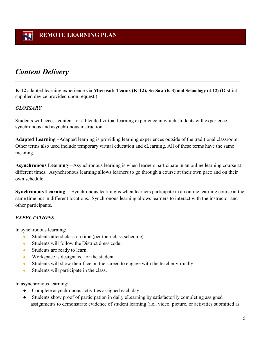# <span id="page-4-0"></span>*Content Delivery*

**K-12** adapted learning experience via **Microsoft Teams (K-12), SeeSaw (K-3) and Schoology (4-12)** (District supplied device provided upon request.)

### *GLOSSARY*

Students will access content for a blended virtual learning experience in which students will experience synchronous and asynchronous instruction.

**Adapted Learning** –Adapted learning is providing learning experiences outside of the traditional classroom. Other terms also used include temporary virtual education and eLearning. All of these terms have the same meaning.

**Asynchronous Learning**—Asynchronous learning is when learners participate in an online learning course at different times. Asynchronous learning allows learners to go through a course at their own pace and on their own schedule.

**Synchronous Learning**— Synchronous learning is when learners participate in an online learning course at the same time but in different locations. Synchronous learning allows learners to interact with the instructor and other participants.

## *EXPECTATIONS*

In synchronous learning:

- Students attend class on time (per their class schedule).
- Students will follow the District dress code.
- Students are ready to learn.
- Workspace is designated for the student.
- Students will show their face on the screen to engage with the teacher virtually.
- Students will participate in the class.

In asynchronous learning:

- Complete asynchronous activities assigned each day.
- Students show proof of participation in daily eLearning by satisfactorily completing assigned assignments to demonstrate evidence of student learning (i.e., video, picture, or activities submitted as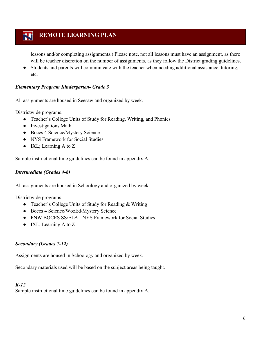lessons and/or completing assignments.) Please note, not all lessons must have an assignment, as there will be teacher discretion on the number of assignments, as they follow the District grading guidelines.

Students and parents will communicate with the teacher when needing additional assistance, tutoring, etc.

#### *Elementary Program Kindergarten- Grade 3*

All assignments are housed in Seesaw and organized by week.

Districtwide programs:

- Teacher's College Units of Study for Reading, Writing, and Phonics
- Investigations Math
- Boces 4 Science/Mystery Science
- NYS Framework for Social Studies
- IXL; Learning A to Z

Sample instructional time guidelines can be found in appendix A.

#### *Intermediate (Grades 4-6)*

All assignments are housed in Schoology and organized by week.

Districtwide programs:

- Teacher's College Units of Study for Reading & Writing
- Boces 4 Science/WozEd/Mystery Science
- PNW BOCES SS/ELA NYS Framework for Social Studies
- IXL; Learning A to Z

### *Secondary (Grades 7-12)*

Assignments are housed in Schoology and organized by week.

Secondary materials used will be based on the subject areas being taught.

#### *K-12*

Sample instructional time guidelines can be found in appendix A.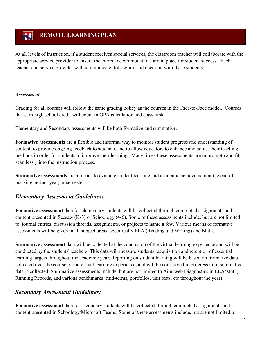At all levels of instruction, if a student receives special services, the classroom teacher will collaborate with the appropriate service provider to ensure the correct accommodations are in place for student success. Each teacher and service provider will communicate, follow-up, and check-in with these students.

#### *Assessment*

Grading for all courses will follow the same grading policy as the courses in the Face-to-Face model. Courses that earn high school credit will count in GPA calculation and class rank.

Elementary and Secondary assessments will be both formative and summative.

**Formative assessments** are a flexible and informal way to monitor student progress and understanding of content, to provide ongoing feedback to students, and to allow educators to enhance and adjust their teaching methods in order for students to improve their learning. Many times these assessments are impromptu and fit seamlessly into the instruction process.

**Summative assessments** are a means to evaluate student learning and academic achievement at the end of a marking period, year, or semester.

## *Elementary Assessment Guidelines:*

**Formative assessment** data for elementary students will be collected through completed assignments and content presented in Seesaw (K-3) or Schoology (4-6). Some of these assessments include, but are not limited to, journal entries, discussion threads, assignments, or projects to name a few. Various means of formative assessments will be given in all subject areas, specifically ELA (Reading and Writing) and Math.

**Summative assessment** data will be collected at the conclusion of the virtual learning experience and will be conducted by the students' teachers. This data will measure students' acquisition and retention of essential learning targets throughout the academic year. Reporting on student learning will be based on formative data collected over the course of the virtual learning experience, and will be considered in progress until summative data is collected. Summative assessments include, but are not limited to Aimsweb Diagnostics in ELA/Math, Running Records, and various benchmarks (mid-terms, portfolios, unit tests, etc throughout the year).

## *Secondary Assessment Guidelines:*

**Formative assessment** data for secondary students will be collected through completed assignments and content presented in Schoology/Microsoft Teams. Some of these assessments include, but are not limited to,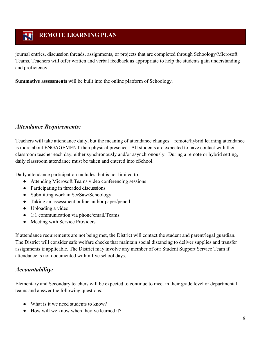journal entries, discussion threads, assignments, or projects that are completed through Schoology/Microsoft Teams. Teachers will offer written and verbal feedback as appropriate to help the students gain understanding and proficiency.

**Summative assessments** will be built into the online platform of Schoology.

## *Attendance Requirements:*

Teachers will take attendance daily, but the meaning of attendance changes—remote/hybrid learning attendance is more about ENGAGEMENT than physical presence. All students are expected to have contact with their classroom teacher each day, either synchronously and/or asynchronously. During a remote or hybrid setting, daily classroom attendance must be taken and entered into eSchool.

Daily attendance participation includes, but is not limited to:

- Attending Microsoft Teams video conferencing sessions
- Participating in threaded discussions
- Submitting work in SeeSaw/Schoology
- Taking an assessment online and/or paper/pencil
- Uploading a video
- 1:1 communication via phone/email/Teams
- Meeting with Service Providers

If attendance requirements are not being met, the District will contact the student and parent/legal guardian. The District will consider safe welfare checks that maintain social distancing to deliver supplies and transfer assignments if applicable. The District may involve any member of our Student Support Service Team if attendance is not documented within five school days.

## *Accountability:*

Elementary and Secondary teachers will be expected to continue to meet in their grade level or departmental teams and answer the following questions:

- What is it we need students to know?
- How will we know when they've learned it?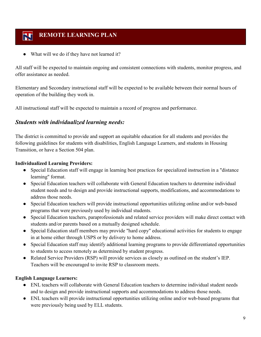What will we do if they have not learned it?

All staff will be expected to maintain ongoing and consistent connections with students, monitor progress, and offer assistance as needed.

Elementary and Secondary instructional staff will be expected to be available between their normal hours of operation of the building they work in.

All instructional staff will be expected to maintain a record of progress and performance.

## *Students with individualized learning needs:*

The district is committed to provide and support an equitable education for all students and provides the following guidelines for students with disabilities, English Language Learners, and students in Housing Transition, or have a Section 504 plan.

### **Individualized Learning Providers:**

- Special Education staff will engage in learning best practices for specialized instruction in a "distance learning" format.
- Special Education teachers will collaborate with General Education teachers to determine individual student needs and to design and provide instructional supports, modifications, and accommodations to address those needs.
- Special Education teachers will provide instructional opportunities utilizing online and/or web-based programs that were previously used by individual students.
- Special Education teachers, paraprofessionals and related service providers will make direct contact with students and/or parents based on a mutually designed schedule.
- Special Education staff members may provide "hard copy" educational activities for students to engage in at home either through USPS or by delivery to home address.
- Special Education staff may identify additional learning programs to provide differentiated opportunities to students to access remotely as determined by student progress.
- Related Service Providers (RSP) will provide services as closely as outlined on the student's IEP. Teachers will be encouraged to invite RSP to classroom meets.

### **English Language Learners:**

- ENL teachers will collaborate with General Education teachers to determine individual student needs and to design and provide instructional supports and accommodations to address those needs.
- ENL teachers will provide instructional opportunities utilizing online and/or web-based programs that were previously being used by ELL students.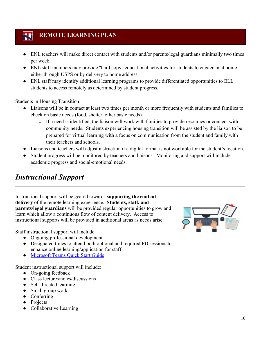- ENL teachers will make direct contact with students and/or parents/legal guardians minimally two times per week.
- ENL staff members may provide "hard copy" educational activities for students to engage in at home either through USPS or by delivery to home address.
- ENL staff may identify additional learning programs to provide differentiated opportunities to ELL students to access remotely as determined by student progress.

Students in Housing Transition:

- Liaisons will be in contact at least two times per month or more frequently with students and families to check on basic needs (food, shelter, other basic needs).
	- If a need is identified, the liaison will work with families to provide resources or connect with community needs. Students experiencing housing transition will be assisted by the liaison to be prepared for virtual learning with a focus on communication from the student and family with their teachers and schools.
- Liaisons and teachers will adjust instruction if a digital format is not workable for the student's location.
- Student progress will be monitored by teachers and liaisons. Monitoring and support will include academic progress and social-emotional needs.

# <span id="page-9-0"></span>*Instructional Support*

Instructional support will be geared towards **supporting the content delivery** of the remote learning experience. **Students, staff, and parents/legal guardians** will be provided regular opportunities to grow and learn which allow a continuous flow of content delivery. Access to instructional supports will be provided in additional areas as needs arise.

Staff instructional support will include:

- Ongoing professional development
- Designated times to attend both optional and required PD sessions to enhance online learning/application for staff
- Microsoft Teams Quick Start Guide

Student instructional support will include:

- On-going feedback
- Class lectures/notes/discussions
- Self-directed learning
- Small group work
- Conferring
- Projects
- Collaborative Learning

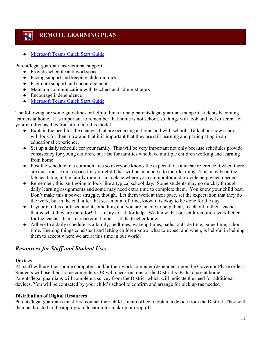**Microsoft Teams Quick Start Guide** 

Parent/legal guardian instructional support

- Provide schedule and workspace
- Pacing support and keeping child on track
- Facilitate support and encouragement
- Maintain communication with teachers and administrators
- Encourage independence
- Microsoft Teams Quick Start Guide

The following are some guidelines or helpful hints to help parents/legal guardians support students becoming learners at home. It is important to remember that home is not school, so things will look and feel different for your children as they transition into this model.

- Explain the need for the changes that are occurring at home and with school. Talk about how school will look for them now and that it is important that they are still learning and participating in an educational experience.
- Set up a daily schedule for your family. This will be very important not only because schedules provide consistency for young children, but also for families who have multiple children working and learning from home.
- Post the schedule in a common area so everyone knows the expectations and can reference it when there are questions. Find a space for your child that will be conducive to their learning. This may be at the kitchen table, in the family room or in a place where you can monitor and provide help when needed.
- Remember, this isn't going to look like a typical school day. Some students may go quickly through daily learning assignments and some may need extra time to complete them. You know your child best. Don't make this a power struggle, though. Let them work at their pace, set the expectation that they do the work, but in the end, after that set amount of time, know it is okay to be done for the day.
- If your child is confused about something and you are unable to help them, reach out to their teacher that is what they are there for! It is okay to ask for help. We know that our children often work better for the teacher than a caretaker at home. Let the teacher know!
- Adhere to a daily schedule as a family; bedtimes, wakeup times, baths, outside time, game time, school time. Keeping things consistent and letting children know what to expect and when, is helpful in helping them to accept where we are at this time in our world.

## *Resources for Staff and Student Use:*

#### **Devices**

All staff will use their home computers and/or their work computer (dependent upon the Governor Phase order). Students will use their home computers OR will check out one of the District's iPads to use at home. Parents/legal guardians will complete a survey from the District which will indicate the need for additional devices. You will be contacted by your child's school to confirm and arrange for pick up (as needed).

### **Distribution of Digital Resources**

Parents/legal guardians must first contact their child's main office to obtain a device from the District. They will then be directed to the appropriate location for pick-up or drop-off.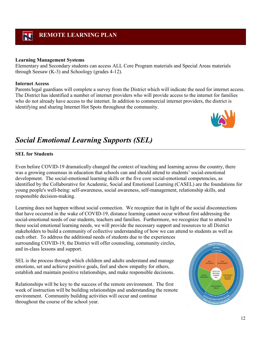#### **Learning Management Systems**

Elementary and Secondary students can access ALL Core Program materials and Special Areas materials through Seesaw (K-3) and Schoology (grades 4-12).

#### **Internet Access**

Parents/legal guardians will complete a survey from the District which will indicate the need for internet access. The District has identified a number of internet providers who will provide access to the internet for families who do not already have access to the internet. In addition to commercial internet providers, the district is identifying and sharing Internet Hot Spots throughout the community.



# <span id="page-11-0"></span>*Social Emotional Learning Supports (SEL)*

#### <span id="page-11-1"></span>**SEL for Students**

Even before COVID-19 dramatically changed the context of teaching and learning across the country, there was a growing consensus in education that schools can and should attend to students' social-emotional development. The social-emotional learning skills or the five core social-emotional competencies, as identified by the Collaborative for Academic, Social and Emotional Learning (CASEL) are the foundations for young people's well-being: self-awareness, social awareness, self-management, relationship skills, and responsible decision-making.

Learning does not happen without social connection. We recognize that in light of the social disconnections that have occurred in the wake of COVID-19, distance learning cannot occur without first addressing the social-emotional needs of our students, teachers and families. Furthermore, we recognize that to attend to these social emotional learning needs, we will provide the necessary support and resources to all District stakeholders to build a community of collective understanding of how we can attend to students as well as each other. To address the additional needs of students due to the experiences surrounding COVID-19, the District will offer counseling, community circles, and in-class lessons and support.

SEL is the process through which children and adults understand and manage emotions, set and achieve positive goals, feel and show empathy for others, establish and maintain positive relationships, and make responsible decisions.

Relationships will be key to the success of the remote environment. The first week of instruction will be building relationships and understanding the remote environment. Community building activities will occur and continue throughout the course of the school year.

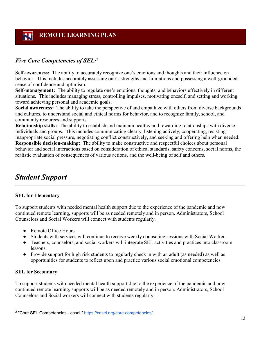## *Five Core Competencies of SEL:*[2](#page-12-0)

**Self-awareness:** The ability to accurately recognize one's emotions and thoughts and their influence on behavior. This includes accurately assessing one's strengths and limitations and possessing a well-grounded sense of confidence and optimism.

**Self-management:** The ability to regulate one's emotions, thoughts, and behaviors effectively in different situations. This includes managing stress, controlling impulses, motivating oneself, and setting and working toward achieving personal and academic goals.

**Social awareness:** The ability to take the perspective of and empathize with others from diverse backgrounds and cultures, to understand social and ethical norms for behavior, and to recognize family, school, and community resources and supports.

**Relationship skills:** The ability to establish and maintain healthy and rewarding relationships with diverse individuals and groups. This includes communicating clearly, listening actively, cooperating, resisting inappropriate social pressure, negotiating conflict constructively, and seeking and offering help when needed. **Responsible decision-making:** The ability to make constructive and respectful choices about personal behavior and social interactions based on consideration of ethical standards, safety concerns, social norms, the realistic evaluation of consequences of various actions, and the well-being of self and others.

## *Student Support*

#### **SEL for Elementary**

To support students with needed mental health support due to the experience of the pandemic and now continued remote learning, supports will be as needed remotely and in person. Administrators, School Counselors and Social Workers will connect with students regularly.

- Remote Office Hours
- Students with services will continue to receive weekly counseling sessions with Social Worker.
- Teachers, counselors, and social workers will integrate SEL activities and practices into classroom lessons.
- Provide support for high risk students to regularly check in with an adult (as needed) as well as opportunities for students to reflect upon and practice various social emotional competencies.

#### **SEL for Secondary**

To support students with needed mental health support due to the experience of the pandemic and now continued remote learning, supports will be as needed remotely and in person. Administrators, School Counselors and Social workers will connect with students regularly.

<span id="page-12-0"></span> <sup>2</sup> "Core SEL Competencies - casel." [https://casel.org/core-competencies/.](https://casel.org/core-competencies/).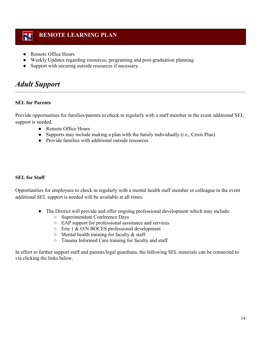- Remote Office Hours
- Weekly Updates regarding resources, programing and post-graduation planning
- Support with securing outside resources if necessary.

# *Adult Support*

### <span id="page-13-0"></span>**SEL for Parents**

Provide opportunities for families/parents to check in regularly with a staff member in the event additional SEL support is needed.

- Remote Office Hours
- Supports may include making a plan with the family individually (i.e., Crisis Plan)
- Provide families with additional outside resources

#### <span id="page-13-1"></span>**SEL for Staff**

Opportunities for employees to check in regularly with a mental health staff member or colleague in the event additional SEL support is needed will be available at all times.

- The District will provide and offer ongoing professional development which may include:
	- Superintendent Conference Days
	- EAP support for professional assistance and services
	- Erie 1 & O/N BOCES professional development
	- $\circ$  Mental health training for faculty & staff
	- Trauma Informed Care training for faculty and staff

In effort to further support staff and parents/legal guardians, the following SEL materials can be connected to via clicking the links below.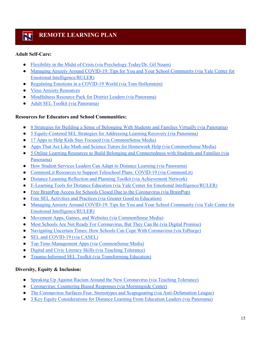### <span id="page-14-0"></span>**Adult Self-Care:**

- [Flexibility in the Midst of Crisis \(via Psychology Today/Dr. Gil Noam\)](https://www.psychologytoday.com/us/blog/the-inner-life-students/202003/flexibility-in-the-midst-crisis)
- [Managing Anxiety Around COVID-19: Tips for You and Your School Community \(via Yale Center for](https://www.rulerapproach.org/managing-anxiety-around-covid-19/)  [Emotional Intelligence/RULER\)](https://www.rulerapproach.org/managing-anxiety-around-covid-19/)
- [Regulating Emotions in a COVID-19 World \(via Tom Hollenstein\)](https://medium.com/@Tom.Hollenstein/regulating-emotions-in-a-covid-19-world-f3ef394f8294)
- [Virus Anxiety Resources](https://www.virusanxiety.com/take-care)
- [Mindfulness Resource Pack for District Leaders \(via Panorama\)](https://go.panoramaed.com/mindfulness-resource-pack)
- **[Adult SEL Toolkit \(via Panorama\)](https://go.panoramaed.com/adult-sel-social-emotional-learning-toolkit)**

#### <span id="page-14-1"></span>**Resources for Educators and School Communities:**

- [8 Strategies for Building a Sense of Belonging With Students and Families Virtually \(via Panorama\)](https://www.panoramaed.com/blog/8-strategies-sense-of-belonging-virtually)
- [5 Equity-Centered SEL Strategies for Addressing Learning Recovery \(via Panorama\)](https://go.panoramaed.com/learning-recovery-sel-toolkit?utm_campaign=blog-top-cta&utm_content=learning%25loss)
- [17 Apps to Help Kids Stay Focused \(via CommonSense Media\)](https://www.commonsensemedia.org/lists/13-apps-to-help-kids-stay-focused?j=7698356&sfmc_sub=179466459&l=2048712_HTML&u=143332598&mid=6409703&jb=2163&utm_source=covid19_resources_jim&utm_medium=email)
- [Apps That Act Like Math and Science Tutors for Homework Help \(via CommonSense Media\)](https://www.commonsensemedia.org/lists/apps-that-act-like-math-and-science-tutors-for-homework-help?j=7698356&sfmc_sub=179466459&l=2048712_HTML&u=143332599&mid=6409703&jb=2163&utm_source=covid19_resources_jim&utm_medium=email)
- [5 Online Learning Resources to Build Belonging and Connectedness with Students and Families \(via](https://go.panoramaed.com/5-virtual-learning-resources)  [Panorama\)](https://go.panoramaed.com/5-virtual-learning-resources)
- How [Student Services Leaders Can Adapt to Distance Learning \(via Panorama\)](https://www.panoramaed.com/blog/student-services-adapt-to-distance-learning)
- [CommonLit Resources to Support Teleschool Plans: COVID-19 \(via CommonLit\)](https://blog.commonlit.org/free-resources-to-support-teleschool-plans-covid-19-5b3955333e05)
- [Distance Learning Reflection and Planning Toolkit \(via Achievement Network\)](http://go.achievementnetwork.org/rs/731-WJI-089/images/Distance%20Learning%20Reflection%20and%20Planning%20Toolkit%20for%20Partners%20.pdf)
- [E-Learning Tools for Distance Education \(via Yale Center for Emotional Intelligence/RULER\)](https://mcusercontent.com/00d9776bca68be705b511d0b5/files/4cdba6e8-fdb8-4f50-8791-043ae3c6d8d3/eLearning_Tools_Distance_Education.pdf)
- [Free BrainPop Access for Schools Closed Due to the Coronavirus \(via BrainPop\)](https://educators.brainpop.com/2020/02/19/free-brainpop-access-for-schools-affected-by-the-corona-virus/)
- [Free SEL Activities and Practices \(via Greater Good in Education\)](https://ggie.berkeley.edu/practices/)
- Managing Anxiety Around COVID-19: Tips for You and Your School Community (via Yale Center for [Emotional Intelligence/RULER\)](https://www.rulerapproach.org/managing-anxiety-around-covid-19/)
- [Movement Apps, Games, and Websites \(via CommonSense Media\)](https://www.commonsensemedia.org/lists/movement-apps-games-and-websites?j=7698356&sfmc_sub=179466459&l=2048712_HTML&u=143332605&mid=6409703&jb=2163&utm_source=covid19_resources_jim&utm_medium=email)
- [Most Schools Are Not Ready For Coronavirus, But They Can Be \(via Digital Promise\)](https://digitalpromise.org/2020/03/11/most-schools-are-not-ready-for-coronavirus-but-they-can-be/)
- [Navigating Uncertain Times: How Schools Can Cope With Coronavirus \(via EdSurge\)](https://www.edsurge.com/research/guides/navigating-uncertain-times-how-schools-can-cope-with-coronavirus?utm_content=buffer436a5&utm_medium=social&utm_source=twitter.com&utm_campaign=EdSurgeBuffer)
- **SEL** and COVID-19 (via CASEL)
- [Top Time-Management Apps \(via CommonSense Media\)](https://www.commonsensemedia.org/lists/top-time-management-apps?j=7698356&sfmc_sub=179466459&l=2048712_HTML&u=143332601&mid=6409703&jb=2163&utm_source=covid19_resources_jim&utm_medium=email)
- [Digital and Civic Literacy Skills \(via Teaching Tolerance\)](https://www.tolerance.org/frameworks/digital-literacy)
- [Trauma-Informed SEL Toolkit \(via Transforming Education\)](https://www.transformingeducation.org/trauma-informed-sel-toolkit/)

### <span id="page-14-2"></span>**Diversity, Equity & Inclusion:**

- [Speaking Up Against Racism Around the New Coronavirus \(via Teaching Tolerance\)](https://www.tolerance.org/magazine/speaking-up-against-racism-around-the-new-coronavirus)
- Coronavirus: Countering [Biased Responses \(via Morningside Center\)](https://www.morningsidecenter.org/teachable-moment/lessons/coronavirus-countering-biased-responses)
- [The Coronavirus Surfaces Fear, Stereotypes and Scapegoating \(via Anti-Defamation League\)](https://www.adl.org/blog/the-coronavirus-surfaces-fear-stereotypes-and-scapegoating)
- [3 Key Equity Considerations for Distance Learning From Education Leaders \(via Panorama\)](https://www.panoramaed.com/blog/equity-distance-learning)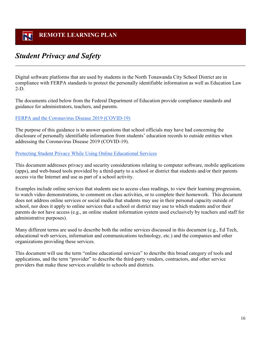# <span id="page-15-0"></span>*Student Privacy and Safety*

Digital software platforms that are used by students in the North Tonawanda City School District are in compliance with FERPA standards to protect the personally identifiable information as well as Education Law 2-D.

The documents cited below from the Federal Department of Education provide compliance standards and guidance for administrators, teachers, and parents.

#### [FERPA and the Coronavirus Disease 2019 \(COVID-19\)](https://studentprivacy.ed.gov/resources/ferpa-and-coronavirus-disease-2019-covid-19)

The purpose of this guidance is to answer questions that school officials may have had concerning the disclosure of personally identifiable information from students' education records to outside entities when addressing the Coronavirus Disease 2019 (COVID-19).

#### [Protecting Student Privacy While Using Online Educational Services](https://studentprivacy.ed.gov/resources/protecting-student-privacy-while-using-online-educational-services-requirements-and-best)

This document addresses privacy and security considerations relating to computer software, mobile applications (apps), and web-based tools provided by a third-party to a school or district that students and/or their parents access via the Internet and use as part of a school activity.

Examples include online services that students use to access class readings, to view their learning progression, to watch video demonstrations, to comment on class activities, or to complete their homework. This document does not address online services or social media that students may use in their personal capacity outside of school, nor does it apply to online services that a school or district may use to which students and/or their parents do not have access (e.g., an online student information system used exclusively by teachers and staff for administrative purposes).

Many different terms are used to describe both the online services discussed in this document (e.g., Ed Tech, educational web services, information and communications technology, etc.) and the companies and other organizations providing these services.

This document will use the term "online educational services" to describe this broad category of tools and applications, and the term "provider" to describe the third-party vendors, contractors, and other service providers that make these services available to schools and districts.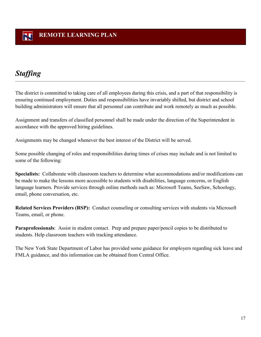# *Staffing*

The district is committed to taking care of all employees during this crisis, and a part of that responsibility is ensuring continued employment. Duties and responsibilities have invariably shifted, but district and school building administrators will ensure that all personnel can contribute and work remotely as much as possible.

Assignment and transfers of classified personnel shall be made under the direction of the Superintendent in accordance with the approved hiring guidelines.

Assignments may be changed whenever the best interest of the District will be served.

Some possible changing of roles and responsibilities during times of crises may include and is not limited to some of the following:

**Specialists:** Collaborate with classroom teachers to determine what accommodations and/or modifications can be made to make the lessons more accessible to students with disabilities, language concerns, or English language learners. Provide services through online methods such as: Microsoft Teams, SeeSaw, Schoology, email, phone conversation, etc.

**Related Services Providers (RSP):** Conduct counseling or consulting services with students via Microsoft Teams, email, or phone.

**Paraprofessionals**: Assist in student contact. Prep and prepare paper/pencil copies to be distributed to students. Help classroom teachers with tracking attendance.

The New York State Department of Labor has provided some guidance for employers regarding sick leave and FMLA guidance, and this information can be obtained from Central Office.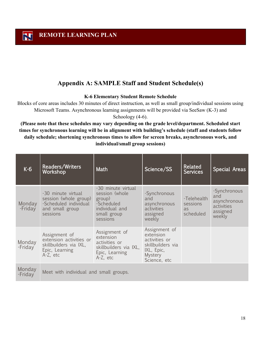## **Appendix A: SAMPLE Staff and Student Schedule(s)**

#### **K-6 Elementary Student Remote Schedule**

<span id="page-17-0"></span>Blocks of core areas includes 30 minutes of direct instruction, as well as small group/individual sessions using Microsoft Teams. Asynchronous learning assignments will be provided via SeeSaw (K-3) and

Schoology (4-6).

**(Please note that these schedules may vary depending on the grade level/department. Scheduled start times for synchronous learning will be in alignment with building's schedule (staff and students follow daily schedule; shortening synchronous times to allow for screen breaks, asynchronous work, and individual/small group sessions)** 

| $K-6$             | Readers/Writers<br>Workshop                                                                         | Math                                                                                                      | Science/SS                                                                                                       | <b>Related</b><br><b>Services</b>          | <b>Special Areas</b>                                                    |
|-------------------|-----------------------------------------------------------------------------------------------------|-----------------------------------------------------------------------------------------------------------|------------------------------------------------------------------------------------------------------------------|--------------------------------------------|-------------------------------------------------------------------------|
| Monday<br>-Friday | -30 minute virtual<br>session (whole group)<br>-Scheduled individual<br>and small group<br>sessions | -30 minute virtual<br>session (whole<br>group)<br>-Scheduled<br>individual and<br>small group<br>sessions | -Synchronous<br>and<br>asynchronous<br>activities<br>assigned<br>weekly                                          | -Telehealth<br>sessions<br>as<br>scheduled | -Synchronous<br>and<br>asynchronous<br>activities<br>assigned<br>weekly |
| Monday<br>-Friday | Assignment of<br>extension activities or<br>skillbuilders via IXL,<br>Epic, Learning<br>A-Z, etc    | Assignment of<br>extension<br>activities or<br>skillbuilders via IXL,<br>Epic, Learning<br>A-Z, etc       | Assignment of<br>extension<br>activities or<br>skillbuilders via<br>IXL, Epic,<br><b>Mystery</b><br>Science, etc |                                            |                                                                         |
| Monday<br>-Friday | Meet with individual and small groups.                                                              |                                                                                                           |                                                                                                                  |                                            |                                                                         |